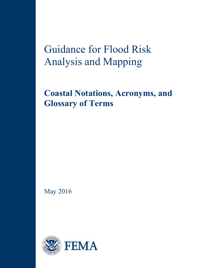Guidance for Flood Risk Analysis and Mapping

**Coastal Notations, Acronyms, and Glossary of Terms**

May 2016

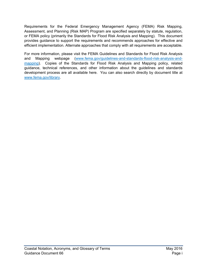Requirements for the Federal Emergency Management Agency (FEMA) Risk Mapping, Assessment, and Planning (Risk MAP) Program are specified separately by statute, regulation, or FEMA policy (primarily the Standards for Flood Risk Analysis and Mapping). This document provides guidance to support the requirements and recommends approaches for effective and efficient implementation. Alternate approaches that comply with all requirements are acceptable.

For more information, please visit the FEMA Guidelines and Standards for Flood Risk Analysis and Mapping webpage [\(www.fema.gov/guidelines-and-standards-flood-risk-analysis-and](http://www.fema.gov/guidelines-and-standards-flood-risk-analysis-and-mapping)[mapping\)](http://www.fema.gov/guidelines-and-standards-flood-risk-analysis-and-mapping). Copies of the Standards for Flood Risk Analysis and Mapping policy, related guidance, technical references, and other information about the guidelines and standards development process are all available here. You can also search directly by document title at [www.fema.gov/library.](http://www.fema.gov/library)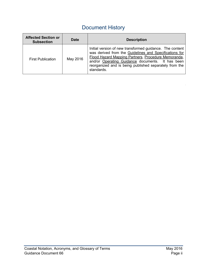# Document History

| <b>Affected Section or</b><br><b>Subsection</b> | <b>Date</b> | <b>Description</b>                                                                                                                                                                                                                                                                                    |
|-------------------------------------------------|-------------|-------------------------------------------------------------------------------------------------------------------------------------------------------------------------------------------------------------------------------------------------------------------------------------------------------|
| <b>First Publication</b>                        | May 2016    | Initial version of new transformed guidance. The content<br>was derived from the Guidelines and Specifications for<br>Flood Hazard Mapping Partners, Procedure Memoranda,<br>and/or Operating Guidance documents. It has been<br>reorganized and is being published separately from the<br>standards. |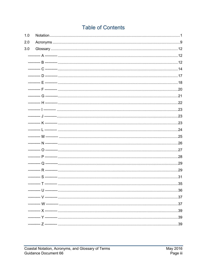## **Table of Contents**

| 1.0 |  |
|-----|--|
| 2.0 |  |
| 3.0 |  |
|     |  |
|     |  |
|     |  |
|     |  |
|     |  |
|     |  |
|     |  |
|     |  |
|     |  |
|     |  |
|     |  |
|     |  |
|     |  |
|     |  |
|     |  |
|     |  |
|     |  |
|     |  |
|     |  |
|     |  |
|     |  |
|     |  |
|     |  |
|     |  |
|     |  |
|     |  |
|     |  |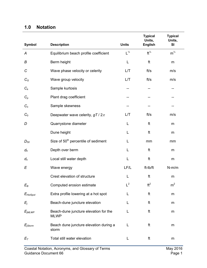## <span id="page-4-0"></span>**1.0 Notation**

| <b>Symbol</b> | <b>Description</b>                                   | <b>Units</b>      | <b>Typical</b><br>Units,<br><b>English</b> | <b>Typical</b><br>Units,<br>SI |
|---------------|------------------------------------------------------|-------------------|--------------------------------------------|--------------------------------|
| A             | Equilibrium beach profile coefficient                | $L^{\frac{1}{3}}$ | $ft^{\frac{1}{3}}$                         | $m^{\frac{1}{3}}$              |
| В             | Berm height                                          | L                 | ft                                         | m                              |
| $\mathcal{C}$ | Wave phase velocity or celerity                      | L/T               | ft/s                                       | m/s                            |
| $C_G$         | Wave group velocity                                  | L/T               | ft/s                                       | m/s                            |
| $C_k$         | Sample kurtosis                                      | --                | --                                         |                                |
| $C_p$         | Plant drag coefficient                               | --                |                                            |                                |
| $C_{s}$       | Sample skewness                                      | --                |                                            | --                             |
| $C_0$         | Deepwater wave celerity, $gT/2\pi$                   | L/T               | ft/s                                       | m/s                            |
| D             | Quarrystone diameter                                 | L                 | ft                                         | ${\sf m}$                      |
|               | Dune height                                          | L                 | ft                                         | m                              |
| $D_{50}$      | Size of 50 <sup>th</sup> percentile of sediment      | L                 | mm                                         | mm                             |
| $d_h$         | Depth over berm                                      | L                 | ft                                         | m                              |
| $d_{s}$       | Local still water depth                              | L                 | ft                                         | m                              |
| E             | Wave energy                                          | LF/L              | ft-Ib/ft                                   | $N-m/m$                        |
|               | Crest elevation of structure                         | L                 | ft                                         | m                              |
| $E_B$         | Computed erosion estimate                            | $L^2$             | $ft^2$                                     | m <sup>2</sup>                 |
| $E_{HotSpot}$ | Extra profile lowering at a hot spot                 | L                 | ft                                         | m                              |
| $E_j$         | Beach-dune juncture elevation                        | L                 | ft                                         | m                              |
| $E_{jMLWP}$   | Beach-dune juncture elevation for the<br><b>MLWP</b> | L                 | ft                                         | m                              |
| $E_{jStorm}$  | Beach dune juncture elevation during a<br>storm      | L                 | ft                                         | m                              |
| $E_T$         | Total still water elevation                          | L                 | ft                                         | m                              |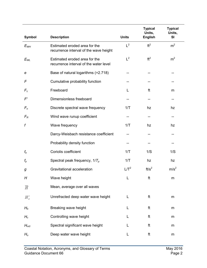|                |                                                                         |                 | <b>Typical</b><br>Units, | <b>Typical</b><br>Units, |
|----------------|-------------------------------------------------------------------------|-----------------|--------------------------|--------------------------|
| Symbol         | <b>Description</b>                                                      | <b>Units</b>    | <b>English</b>           | <b>SI</b>                |
| $E_{WH}$       | Estimated eroded area for the<br>recurrence interval of the wave height | $L^2$           | ft <sup>2</sup>          | m <sup>2</sup>           |
| $E_{WL}$       | Estimated eroded area for the<br>recurrence interval of the water level | $L^2$           | ft <sup>2</sup>          | m <sup>2</sup>           |
| е              | Base of natural logarithms (=2.718)                                     |                 |                          |                          |
| F              | Cumulative probability function                                         |                 |                          |                          |
| $F_c$          | Freeboard                                                               | L               | ft                       | m                        |
| F'             | Dimensionless freeboard                                                 |                 |                          | --                       |
| $F_n$          | Discrete spectral wave frequency                                        | 1/T             | hz                       | hz                       |
| $F_R$          | Wind wave runup coefficient                                             |                 | --                       | --                       |
| f              | Wave frequency                                                          | 1/T             | hz                       | hz                       |
|                | Darcy-Weisbach resistance coefficient                                   | --              |                          |                          |
|                | Probability density function                                            |                 |                          | --                       |
| $f_{\rm e}$    | Coriolis coefficient                                                    | 1/T             | 1/S                      | 1/S                      |
| $f_p$          | Spectral peak frequency, $1/T_p$                                        | 1/T             | hz                       | hz                       |
| g              | Gravitational acceleration                                              | LT <sup>2</sup> | ft/s <sup>2</sup>        | m/s <sup>2</sup>         |
| H              | Wave height                                                             | L               | ft                       | m                        |
| $\overline{H}$ | Mean, average over all waves                                            |                 |                          |                          |
| $H'_o$         | Unrefracted deep water wave height                                      | L               | ft                       | m                        |
| $H_b$          | Breaking wave height                                                    | L               | ft                       | m                        |
| $H_c$          | Controlling wave height                                                 | L               | ft                       | m                        |
| $H_{m0}$       | Spectral significant wave height                                        | L               | ft                       | m                        |
| $H_{o}$        | Deep water wave height                                                  | L               | ft                       | m                        |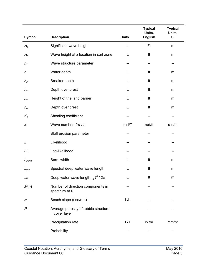| <b>Symbol</b>     | <b>Description</b>                                     | <b>Units</b> | <b>Typical</b><br>Units,<br><b>English</b> | <b>Typical</b><br>Units,<br>SI |
|-------------------|--------------------------------------------------------|--------------|--------------------------------------------|--------------------------------|
|                   |                                                        | L            | Ft                                         |                                |
| $H_{s}$           | Significant wave height                                |              |                                            | m                              |
| $H_{x}$           | Wave height at x location in surf zone                 | L            | ft                                         | m                              |
| $h_{*}$           | Wave structure parameter                               |              | --                                         | --                             |
| h                 | Water depth                                            | L            | ft                                         | m                              |
| $h_b$             | Breaker depth                                          | L            | ft                                         | m                              |
| $h_c$             | Depth over crest                                       | L            | ft                                         | m                              |
| $h_m$             | Height of the land barrier                             | L            | ft                                         | m                              |
| $h_{\rm o}$       | Depth over crest                                       | L            | ft                                         | m                              |
| $K_{s}$           | Shoaling coefficient                                   |              |                                            |                                |
| k                 | Wave number, $2\pi/L$                                  | rad/T        | rad/ft                                     | rad/m                          |
|                   | Bluff erosion parameter                                |              |                                            |                                |
| L                 | Likelihood                                             |              |                                            |                                |
| LL                | Log-likelihood                                         |              | ۰.                                         | -−                             |
| $L_{\text{berm}}$ | Berm width                                             | L            | ft                                         | m                              |
| $L_{\text{om}}$   | Spectral deep water wave length                        | L            | ft                                         | m                              |
| $L_0$             | Deep water wave length, $gT^2/2\pi$                    | L            | ft                                         | m                              |
| M(n)              | Number of direction components in<br>spectrum at $f_n$ |              |                                            |                                |
| m                 | Beach slope (rise/run)                                 | L/L          |                                            |                                |
| P                 | Average porosity of rubble structure<br>cover layer    |              |                                            |                                |
|                   | Precipitation rate                                     | L/T          | in./hr                                     | mm/hr                          |
|                   | Probability                                            |              |                                            |                                |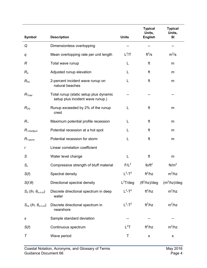|                                  |                                                                            |                       | <b>Typical</b><br>Units, | <b>Typical</b><br>Units, |
|----------------------------------|----------------------------------------------------------------------------|-----------------------|--------------------------|--------------------------|
| <b>Symbol</b>                    | <b>Description</b>                                                         | <b>Units</b>          | <b>English</b>           | <b>SI</b>                |
| Q                                | Dimensionless overtopping                                                  | --                    |                          |                          |
| q                                | Mean overtopping rate per unit length                                      | $L^2/T$               | $ft^2/s$                 | $m^2/s$                  |
| R                                | Total wave runup                                                           | L                     | ft                       | m                        |
| $R_{a}$                          | Adjusted runup elevation                                                   | L                     | ft                       | m                        |
| $R_{inc}$                        | 2-percent incident wave runup on<br>natural beaches                        | L                     | ft                       | m                        |
| $R_{\text{Total}}$               | Total runup (static setup plus dynamic<br>setup plus incident wave runup.) |                       |                          |                          |
| $R_{2\%}$                        | Runup exceeded by 2% of the runup<br>crest                                 | L                     | ft                       | m                        |
| $R_{\infty}$                     | Maximum potential profile recession                                        | L                     | ft                       | m                        |
| $R_{\text{s-HotSpot}}$           | Potential recession at a hot spot                                          | L                     | ft                       | m                        |
| $R_{\infty_{\text{storm}}}$      | Potential recession for storm                                              | L                     | ft                       | m                        |
| r                                | Linear correlation coefficient                                             |                       |                          |                          |
| S                                | Water level change                                                         | L                     | ft                       | m                        |
| $S_c$                            | Compressive strength of bluff material                                     | $F/L^2$               | $Ib/ft^2$                | N/m <sup>2</sup>         |
| S(f)                             | Spectral density                                                           | $L^2$ -T <sup>2</sup> | $ft^2/hz$                | $m^2/hz$                 |
| $S(f, \theta)$                   | Directional spectral density                                               | $L^2T$ /deg           | ft <sup>2</sup> /hz)/deg | $(m^2/hz)/deg$           |
| $S_0$ (fn, $\theta_{o,n,m}$ )    | Discrete directional spectrum in deep<br>water                             | $L^2$ -T <sup>2</sup> | $ft^2/hz$                | $m^2/hz$                 |
| $S_{ns}$ (fn, $\theta_{o,n,m}$ ) | Discrete directional spectrum in<br>nearshore                              | $L^2$ -T <sup>2</sup> | $ft^2/hz$                | $m^2/hz$                 |
| S                                | Sample standard deviation                                                  |                       |                          |                          |
| S(f)                             | Continuous spectrum                                                        | $L^2T$                | $ft^2/hz$                | $m^2/hz$                 |
| T                                | Wave period                                                                | Τ                     | s                        | s                        |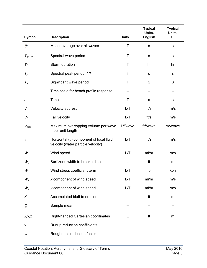|                     |                                                                                 |              | <b>Typical</b><br>Units, | <b>Typical</b><br>Units, |
|---------------------|---------------------------------------------------------------------------------|--------------|--------------------------|--------------------------|
| Symbol              | <b>Description</b>                                                              | <b>Units</b> | <b>English</b>           | SI                       |
| $\overline{T}$      | Mean, average over all waves                                                    | T            | $\mathbf s$              | s                        |
| $T_{m-1.0}$         | Spectral wave period                                                            | Τ            | $\mathbf S$              | ${\mathsf s}$            |
| $T_D$               | Storm duration                                                                  | Τ            | hr                       | hr                       |
| $\mathcal{T}_p$     | Spectral peak period, 1/f <sub>p</sub>                                          | Т            | ${\sf S}$                | s                        |
| $T_{s}$             | Significant wave period                                                         | T            | S                        | S                        |
|                     | Time scale for beach profile response                                           | --           | --                       | --                       |
| t                   | Time                                                                            | Τ            | S                        | s                        |
| $V_c$               | Velocity at crest                                                               | L/T          | ft/s                     | m/s                      |
| $V_f$               | Fall velocity                                                                   | L/T          | ft/s                     | m/s                      |
| $V_{max}$           | Maximum overtopping volume per wave<br>per unit length                          | $L^2$ /wave  | $ft^2$ /wave             | $m^2$ /wave              |
| v                   | Horizontal $(y)$ component of local fluid<br>velocity (water particle velocity) | L/T          | ft/s                     | m/s                      |
| W                   | Wind speed                                                                      | L/T          | mi/hr                    | m/s                      |
| $W_b$               | Surf zone width to breaker line                                                 | L            | ft                       | m                        |
| $W_c$               | Wind stress coefficient term                                                    | L/T          | mph                      | kph                      |
| $W_{\rm x}$         | x component of wind speed                                                       | L/T          | mi/hr                    | m/s                      |
| $W_{y}$             | y component of wind speed                                                       | L/T          | mi/hr                    | m/s                      |
| X                   | Accumulated bluff to erosion                                                    | L            | ft                       | m                        |
| $\bar{x}$           | Sample mean                                                                     |              |                          |                          |
| x, y, z             | Right-handed Cartesian coordinates                                              | L            | ft                       | m                        |
| γ                   | Runup reduction coefficients                                                    |              |                          |                          |
| $\gamma_{\text{r}}$ | Roughness reduction factor                                                      |              |                          |                          |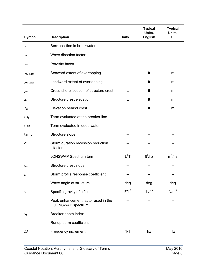|                       |                                                         |              | <b>Typical</b><br>Units, | <b>Typical</b><br>Units, |
|-----------------------|---------------------------------------------------------|--------------|--------------------------|--------------------------|
| <b>Symbol</b>         | <b>Description</b>                                      | <b>Units</b> | <b>English</b>           | SI                       |
| $\gamma_b$            | Berm section in breakwater                              |              |                          |                          |
| $\gamma_{\beta}$      | Wave direction factor                                   |              |                          |                          |
| $\gamma_{\mathsf P}$  | Porosity factor                                         |              |                          |                          |
| y <sub>G, inner</sub> | Seaward extent of overtopping                           | L            | ft                       | m                        |
| y <sub>G, outer</sub> | Landward extent of overtopping                          | L            | ft                       | m                        |
| Уo                    | Cross-shore location of structure crest                 | L            | ft                       | m                        |
| $Z_c$                 | Structure crest elevation                               | L            | ft                       | m                        |
| $Z_G$                 | Elevation behind crest                                  | L            | ft                       | m                        |
| $()_b$                | Term evaluated at the breaker line                      |              |                          |                          |
| $()$ o                | Term evaluated in deep water                            | --           |                          |                          |
| tan $\alpha$          | Structure slope                                         |              |                          |                          |
| α                     | Storm duration recession reduction<br>factor            |              |                          |                          |
|                       | <b>JONSWAP Spectrum term</b>                            | $L^2T$       | $ft^2/hz$                | $m^2/hz$                 |
| $\alpha_c$            | Structure crest slope                                   |              |                          |                          |
| β                     | Storm profile response coefficient                      |              |                          |                          |
|                       | Wave angle at structure                                 | deg          | deg                      | deg                      |
| γ                     | Specific gravity of a fluid                             | $F/L^3$      | $Ib/ft^3$                | N/m <sup>3</sup>         |
|                       | Peak enhancement factor used in the<br>JONSWAP spectrum |              |                          |                          |
| Yb                    | Breaker depth index                                     |              |                          |                          |
|                       | Runup berm coefficient                                  |              |                          |                          |
| $\Delta f$            | Frequency increment                                     | 1/T          | hz                       | Hz                       |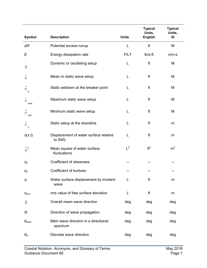| <b>Symbol</b>          | <b>Description</b>                               | <b>Units</b> | <b>Typical</b><br>Units,<br><b>English</b> | <b>Typical</b><br>Units,<br><b>SI</b> |
|------------------------|--------------------------------------------------|--------------|--------------------------------------------|---------------------------------------|
| $\Delta R$             | Potential excess runup                           | L            | ft                                         | M                                     |
| E                      | Energy dissipation rate                          | F/LT         | lb/s-ft                                    | $n/m-s$                               |
| ٨<br>η                 | Dynamic or oscillating setup                     | L            | ft                                         | M                                     |
| η                      | Mean or static wave setup                        | L            | ft                                         | M                                     |
| η<br>$\mathbf b$       | Static setdown at the breaker point              | L            | ft                                         | M                                     |
| η<br>max               | Maximum static wave setup                        | L            | ft                                         | M                                     |
| η<br>min               | Minimum static wave setup                        | L            | ft                                         | M                                     |
| η<br>$\circ$           | Static setup at the shoreline                    | L            | ft                                         | m                                     |
| $\eta(x,t)$            | Displacement of water surface relative<br>to SWL | L            | ft                                         | m                                     |
| $n^2$                  | Mean square of water surface<br>fluctuations     | $L^2$        | ft <sup>2</sup>                            | m <sup>2</sup>                        |
| $\eta_3$               | Coefficient of skewness                          |              |                                            |                                       |
| $\eta_4$               | Coefficient of kurtosis                          |              |                                            |                                       |
| $\eta_i$               | Water surface displacement by incident<br>wave   | L            | ft                                         | m                                     |
| $\eta_{rms}$           | rms value of free surface elevation              | L            | ft                                         | m                                     |
| $\overline{\theta}$    | Overall mean wave direction                      | deg          | deg                                        | deg                                   |
| Θ                      | Direction of wave propagation                    | deg          | deg                                        | deg                                   |
| $\theta_{\text{main}}$ | Main wave direction in a directional<br>spectrum | deg          | deg                                        | deg                                   |
| $\theta_m$             | Discrete wave direction                          | deg          | deg                                        | deg                                   |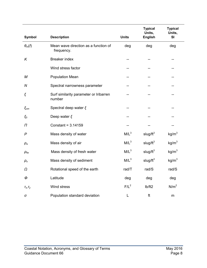|                                                    |                                                    |                  | <b>Typical</b><br>Units, | <b>Typical</b><br>Units, |
|----------------------------------------------------|----------------------------------------------------|------------------|--------------------------|--------------------------|
| <b>Symbol</b>                                      | <b>Description</b>                                 | <b>Units</b>     | <b>English</b>           | SI                       |
| $\theta_m(f)$                                      | Mean wave direction as a function of<br>frequency. | deg              | deg                      | deg                      |
| K                                                  | <b>Breaker index</b>                               | $-$              | --                       | --                       |
|                                                    | Wind stress factor                                 |                  |                          |                          |
| М                                                  | <b>Population Mean</b>                             |                  |                          |                          |
| N                                                  | Spectral narrowness parameter                      |                  |                          |                          |
| ξ                                                  | Surf similarity parameter or Iribarren<br>number   |                  |                          | --                       |
| $\xi$ <sub>om</sub>                                | Spectral deep water $\xi$                          |                  |                          |                          |
| $\xi_0$                                            | Deep water $\xi$                                   | $\overline{a}$   | --                       |                          |
| Π                                                  | Constant = 3.14159                                 |                  |                          |                          |
| $\mathsf{P}$                                       | Mass density of water                              | $M/L^3$          | slug/ $ft^3$             | kg/m <sup>3</sup>        |
| $\rho_{\scriptscriptstyle a}$                      | Mass density of air                                | M/L <sup>3</sup> | slug/ $ft^3$             | kg/m <sup>3</sup>        |
| $\rho_{\scriptscriptstyle f \hspace{-0.05cm} \nu}$ | Mass density of fresh water                        | $M/L^3$          | slug/ $ft^3$             | kg/m <sup>3</sup>        |
| $\rho_{\text{s}}$                                  | Mass density of sediment                           | $M/L^3$          | slug/ $ft^3$             | kg/m <sup>3</sup>        |
| Ω                                                  | Rotational speed of the earth                      | rad/T            | rad/S                    | rad/S                    |
| Φ                                                  | Latitude                                           | deg              | deg                      | deg                      |
| $T_X, T_Y$                                         | Wind stress                                        | $F/L^2$          | Ib/ft2                   | N/m <sup>2</sup>         |
| σ                                                  | Population standard deviation                      | L                | ft                       | m                        |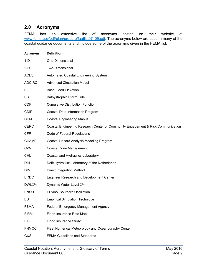### <span id="page-12-0"></span>**2.0 Acronyms**

FEMA has an extensive list of acronyms posted on their website at [www.fema.gov/pdf/plan/prepare/faatlist07\\_09.pdf.](http://www.fema.gov/pdf/plan/prepare/faatlist07_09.pdf) The acronyms below are used in many of the coastal guidance documents and include some of the acronyms given in the FEMA list.

| Acronym       | <b>Definition</b>                                                                |
|---------------|----------------------------------------------------------------------------------|
| $1-D$         | One-Dimensional                                                                  |
| $2-D$         | Two-Dimensional                                                                  |
| <b>ACES</b>   | Automated Coastal Engineering System                                             |
| <b>ADCIRC</b> | <b>Advanced Circulation Model</b>                                                |
| <b>BFE</b>    | <b>Base Flood Elevation</b>                                                      |
| <b>BST</b>    | <b>Bathystrophic Storm Tide</b>                                                  |
| <b>CDF</b>    | <b>Cumulative Distribution Function</b>                                          |
| <b>CDIP</b>   | Coastal Data Information Program                                                 |
| <b>CEM</b>    | <b>Coastal Engineering Manual</b>                                                |
| <b>CERC</b>   | Coastal Engineering Research Center or Community Engagement & Risk Communication |
| <b>CFR</b>    | Code of Federal Regulations                                                      |
| <b>CHAMP</b>  | Coastal Hazard Analysis Modeling Program                                         |
| <b>CZM</b>    | <b>Coastal Zone Management</b>                                                   |
| <b>CHL</b>    | Coastal and Hydraulics Laboratory                                                |
| <b>DHL</b>    | Delft Hydraulics Laboratory of the Netherlands                                   |
| <b>DIM</b>    | <b>Direct Integration Method</b>                                                 |
| <b>ERDC</b>   | <b>Engineer Research and Development Center</b>                                  |
| DWLX%         | Dynamic Water Level X%                                                           |
| <b>ENSO</b>   | El Niño, Southern Oscillation                                                    |
| <b>EST</b>    | <b>Empirical Simulation Technique</b>                                            |
| <b>FEMA</b>   | Federal Emergency Management Agency                                              |
| <b>FIRM</b>   | Flood Insurance Rate Map                                                         |
| <b>FIS</b>    | Flood Insurance Study                                                            |
| <b>FNMOC</b>  | Fleet Numerical Meteorology and Oceanography Center                              |
| G&S           | <b>FEMA Guidelines and Standards</b>                                             |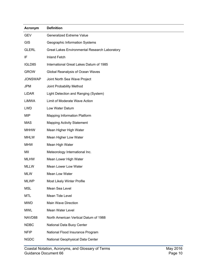| Acronym        | <b>Definition</b>                                    |
|----------------|------------------------------------------------------|
| <b>GEV</b>     | <b>Generalized Extreme Value</b>                     |
| <b>GIS</b>     | Geographic Information Systems                       |
| <b>GLERL</b>   | <b>Great Lakes Environmental Research Laboratory</b> |
| IF             | <b>Inland Fetch</b>                                  |
| IGLD85         | International Great Lakes Datum of 1985              |
| <b>GROW</b>    | Global Reanalysis of Ocean Waves                     |
| <b>JONSWAP</b> | Joint North Sea Wave Project                         |
| <b>JPM</b>     | Joint Probability Method                             |
| LiDAR          | Light Detection and Ranging (System)                 |
| LiMWA          | Limit of Moderate Wave Action                        |
| <b>LWD</b>     | Low Water Datum                                      |
| <b>MIP</b>     | <b>Mapping Information Platform</b>                  |
| <b>MAS</b>     | <b>Mapping Activity Statement</b>                    |
| <b>MHHW</b>    | Mean Higher High Water                               |
| <b>MHLW</b>    | Mean Higher Low Water                                |
| <b>MHW</b>     | Mean High Water                                      |
| MII            | Meteorology International Inc.                       |
| <b>MLHW</b>    | Mean Lower High Water                                |
| <b>MLLW</b>    | Mean Lower Low Water                                 |
| <b>MLW</b>     | Mean Low Water                                       |
| <b>MLWP</b>    | Most Likely Winter Profile                           |
| <b>MSL</b>     | Mean Sea Level                                       |
| <b>MTL</b>     | Mean Tide Level                                      |
| <b>MWD</b>     | Main Wave Direction                                  |
| <b>MWL</b>     | Mean Water Level                                     |
| NAVD88         | North American Vertical Datum of 1988                |
| <b>NDBC</b>    | National Data Buoy Center                            |
| <b>NFIP</b>    | National Flood Insurance Program                     |
| <b>NGDC</b>    | National Geophysical Data Center                     |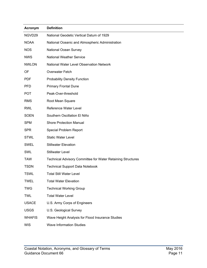| Acronym       | <b>Definition</b>                                                  |
|---------------|--------------------------------------------------------------------|
| NGVD29        | National Geodetic Vertical Datum of 1929                           |
| <b>NOAA</b>   | National Oceanic and Atmospheric Administration                    |
| <b>NOS</b>    | National Ocean Survey                                              |
| <b>NWS</b>    | <b>National Weather Service</b>                                    |
| <b>NWLON</b>  | National Water Level Observation Network                           |
| OF            | <b>Overwater Fetch</b>                                             |
| <b>PDF</b>    | <b>Probability Density Function</b>                                |
| <b>PFD</b>    | <b>Primary Frontal Dune</b>                                        |
| <b>POT</b>    | Peak-Over-threshold                                                |
| <b>RMS</b>    | Root Mean Square                                                   |
| <b>RWL</b>    | Reference Water Level                                              |
| <b>SOEN</b>   | Southern Oscillation El Niño                                       |
| <b>SPM</b>    | <b>Shore Protection Manual</b>                                     |
| <b>SPR</b>    | Special Problem Report                                             |
| <b>STWL</b>   | <b>Static Water Level</b>                                          |
| <b>SWEL</b>   | <b>Stillwater Elevation</b>                                        |
| SWL           | <b>Stillwater Level</b>                                            |
| <b>TAW</b>    | <b>Technical Advisory Committee for Water Retaining Structures</b> |
| <b>TSDN</b>   | <b>Technical Support Data Notebook</b>                             |
| <b>TSWL</b>   | <b>Total Still Water Level</b>                                     |
| <b>TWEL</b>   | <b>Total Water Elevation</b>                                       |
| <b>TWG</b>    | <b>Technical Working Group</b>                                     |
| <b>TWL</b>    | <b>Total Water Level</b>                                           |
| <b>USACE</b>  | U.S. Army Corps of Engineers                                       |
| <b>USGS</b>   | U.S. Geological Survey                                             |
| <b>WHAFIS</b> | Wave Height Analysis for Flood Insurance Studies                   |
| <b>WIS</b>    | <b>Wave Information Studies</b>                                    |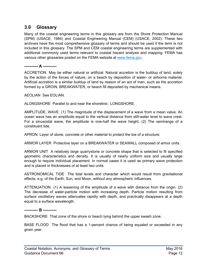### <span id="page-15-0"></span>**3.0 Glossary**

Many of the coastal engineering terms in this glossary are from the Shore Protection Manual (SPM) (USACE, 1984) and Coastal Engineering Manual (CEM) (USACE, 2002). These two archives have the most comprehensive glossary of terms and should be used if the term is not included in this glossary. The SPM and CEM coastal engineering terms are supplemented with additional commonly used terms relevant to coastal hazard analysis and mapping. FEMA has various other glossaries posted on the FEMA website at [www.fema.gov.](http://www.fema.gov/)

#### <span id="page-15-1"></span>**---------- A ----------**

ACCRETION May be either natural or artificial. Natural accretion is the buildup of land, solely by the action of the forces of nature, on a beach by deposition of water- or airborne material. Artificial accretion is a similar buildup of land by reason of an act of man, such as the accretion formed by a GROIN, BREAKWATER, or beach fill deposited by mechanical means.

AEOLIAN See EOLIAN.

ALONGSHORE Parallel to and near the shoreline; LONGSHORE.

AMPLITUDE, WAVE (1) The magnitude of the displacement of a wave from a mean value. An ocean wave has an amplitude equal to the vertical distance from still-water level to wave crest. For a sinusoidal wave, the amplitude is one-half the wave height. (2) The semirange of a constituent tide.

APRON Layer of stone, concrete or other material to protect the toe of a structure.

ARMOR LAYER Protective layer on a BREAKWATER or SEAWALL composed of armor units.

ARMOR UNIT A relatively large quarrystone or concrete shape that is selected to fit specified geometric characteristics and density. It is usually of nearly uniform size and usually large enough to require individual placement. In normal cases it is used as primary wave protection and is placed in thicknesses of at least two units.

ASTRONOMICAL TIDE The tidal levels and character which would result from gravitational effects, e.g. of the Earth, Sun, and Moon, without any atmospheric influences.

ATTENUATION (1) A lessening of the amplitude of a wave with distance from the origin. (2) The decrease of water-particle motion with increasing depth. Particle motion resulting from surface oscillatory waves attenuates rapidly with depth, and practically disappears at a depth equal to a surface wavelength.

#### <span id="page-15-2"></span>**---------- B ----------**

BACKSHORE That zone of the shore or beach lying behind the upper swash zone.

BASE FLOOD The flood that has a 1-percent chance of being equaled or exceeded in any given year.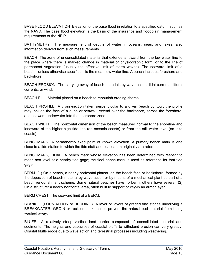BASE FLOOD ELEVATION Elevation of the base flood in relation to a specified datum, such as the NAVD. The base flood elevation is the basis of the insurance and floodplain management requirements of the NFIP.

BATHYMETRY The measurement of depths of water in oceans, seas, and lakes; also information derived from such measurements.

BEACH The zone of unconsolidated material that extends landward from the low water line to the place where there is marked change in material or physiographic form, or to the line of permanent vegetation (usually the effective limit of storm waves). The seaward limit of a beach—unless otherwise specified—is the mean low water line. A beach includes foreshore and backshore..

BEACH EROSION The carrying away of beach materials by wave action, tidal currents, littoral currents, or wind.

BEACH FILL Material placed on a beach to renourish eroding shores.

BEACH PROFILE A cross-section taken perpendicular to a given beach contour; the profile may include the face of a dune or seawall, extend over the backshore, across the foreshore, and seaward underwater into the nearshore zone.

BEACH WIDTH The horizontal dimension of the beach measured normal to the shoreline and landward of the higher-high tide line (on oceanic coasts) or from the still water level (on lake coasts).

BENCHMARK A permanently fixed point of known elevation. A primary bench mark is one close to a tide station to which the tide staff and tidal datum originally are referenced.

BENCHMARK, TIDAL A bench mark whose elevation has been determined with respect to mean sea level at a nearby tide gage; the tidal bench mark is used as reference for that tide gage.

BERM (1) On a beach, a nearly horizontal plateau on the beach face or backshore, formed by the deposition of beach material by wave action or by means of a mechanical plant as part of a beach renourishment scheme. Some natural beaches have no berm, others have several. (2) On a structure: a nearly horizontal area, often built to support or key-in an armor layer.

BERM CREST The seaward limit of a BERM.

BLANKET (FOUNDATION or BEDDING) A layer or layers of graded fine stones underlying a BREAKWATER, GROIN or rock embankment to prevent the natural bed material from being washed away.

BLUFF A relatively steep vertical land barrier composed of consolidated material and sediments. The heights and capacities of coastal bluffs to withstand erosion can vary greatly. Coastal bluffs erode due to wave action and terrestrial processes including weathering.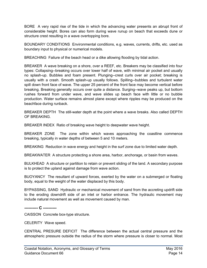BORE A very rapid rise of the tide in which the advancing water presents an abrupt front of considerable height. Bores can also form during wave runup on beach that exceeds dune or structure crest resulting in a wave overtopping bore.

BOUNDARY CONDITIONS Environmental conditions, e.g. waves, currents, drifts, etc. used as boundary input to physical or numerical models.

BREACHING Failure of the beach head or a dike allowing flooding by tidal action.

BREAKER A wave breaking on a shore, over a REEF, etc. Breakers may be classified into four types: Collapsing--breaking occurs over lower half of wave, with minimal air pocket and usually no splash-up. Bubbles and foam present. Plunging--crest curls over air pocket; breaking is usually with a crash. Smooth splash-up usually follows. Spilling--bubbles and turbulent water spill down front face of wave. The upper 25 percent of the front face may become vertical before breaking. Breaking generally occurs over quite a distance. Surging--wave peaks up, but bottom rushes forward from under wave, and wave slides up beach face with little or no bubble production. Water surface remains almost plane except where ripples may be produced on the beachface during runback.

BREAKER DEPTH The still-water depth at the point where a wave breaks. Also called DEPTH OF BREAKING.

BREAKER INDEX Ratio of breaking wave height to deepwater wave height.

BREAKER ZONE The zone within which waves approaching the coastline commence breaking, typically in water depths of between 5 and 10 meters.

BREAKING Reduction in wave energy and height in the surf zone due to limited water depth.

BREAKWATER A structure protecting a shore area, harbor, anchorage, or basin from waves.

BULKHEAD A structure or partition to retain or prevent sliding of the land. A secondary purpose is to protect the upland against damage from wave action.

BUOYANCY The resultant of upward forces, exerted by the water on a submerged or floating body, equal to the weight of the water displaced by this body.

BYPASSING, SAND Hydraulic or mechanical movement of sand from the accreting updrift side to the eroding downdrift side of an inlet or harbor entrance. The hydraulic movement may include natural movement as well as movement caused by man.

<span id="page-17-0"></span>**---------- C ----------**

CAISSON Concrete box-type structure.

CELERITY Wave speed.

CENTRAL PRESURE DEFICIT The difference between the actual central pressure and the atmospheric pressure outside the radius of the storm where pressure is closer to normal. Most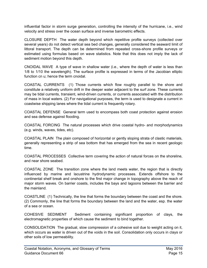influential factor in storm surge generation, controlling the intensity of the hurricane, i.e., wind velocity and stress over the ocean surface and inverse barometric effects.

CLOSURE DEPTH The water depth beyond which repetitive profile surveys (collected over several years) do not detect vertical sea bed changes, generally considered the seaward limit of littoral transport. The depth can be determined from repeated cross-shore profile surveys or estimated using formulas based on wave statistics. Note that this does not imply the lack of sediment motion beyond this depth.

CNOIDAL WAVE A type of wave in shallow water (i.e., where the depth of water is less than 1/8 to 1/10 the wavelength). The surface profile is expressed in terms of the Jacobian elliptic function cn u; hence the term cnoidal.

COASTAL CURRENTS (1) Those currents which flow roughly parallel to the shore and constitute a relatively uniform drift in the deeper water adjacent to the surf zone. These currents may be tidal currents, transient, wind-driven currents, or currents associated with the distribution of mass in local waters. (2) For navigational purposes, the term is used to designate a current in coastwise shipping lanes where the tidal current is frequently rotary.

COASTAL DEFENSE General term used to encompass both coast protection against erosion and sea defense against flooding.

COASTAL FORCING The natural processes which drive coastal hydro- and morphodynamics (e.g. winds, waves, tides, etc).

COASTAL PLAIN The plain composed of horizontal or gently sloping strata of clastic materials, generally representing a strip of sea bottom that has emerged from the sea in recent geologic time.

COASTAL PROCESSES Collective term covering the action of natural forces on the shoreline, and near shore seabed.

COASTAL ZONE The transition zone where the land meets water, the region that is directly influenced by marine and lacustrine hydrodynamic processes. Extends offshore to the continental shelf break and onshore to the first major change in topography above the reach of major storm waves. On barrier coasts, includes the bays and lagoons between the barrier and the mainland.

COASTLINE (1) Technically, the line that forms the boundary between the coast and the shore. (2) Commonly, the line that forms the boundary between the land and the water, esp. the water of a sea or ocean.

COHESIVE SEDIMENT Sediment containing significant proportion of clays, the electromagnetic properties of which cause the sediment to bind together.

CONSOLIDATION The gradual, slow compression of a cohesive soil due to weight acting on it, which occurs as water is driven out of the voids in the soil. Consolidation only occurs in clays or other soils of low permeability.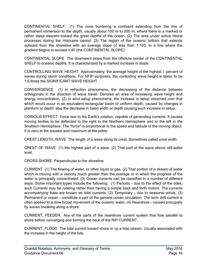CONTINENTAL SHELF (1) The zone bordering a continent extending from the line of permanent immersion to the depth, usually about 100 m to 200 m, where there is a marked or rather steep descent toward the great depths of the ocean. (2) The area under active littoral processes during the Holocene period. (3) The region of the oceanic bottom that extends outward from the shoreline with an average slope of less than 1:100, to a line where the gradient begins to exceed 1:40 (the CONTINENTAL SLOPE).

CONTINENTAL SLOPE The downward slope from the offshore border of the CONTINENTAL SHELF to oceanic depths. It is characterized by a marked increase in slope.

CONTROLLING WAVE HEIGHT Approximately, the average height of the highest 1 percent of waves during storm conditions. For NFIP purposes, the controlling wave height is taken to be 1.6 times the SIGNIFICANT WAVE HEIGHT.

CONVERGENCE (1) In refraction phenomena, the decreasing of the distance between orthogonals in the direction of wave travel. Denotes an area of increasing wave height and energy concentration. (2) In wind-setup phenomena, the increase in setup observed over that which would occur in an equivalent rectangular basin of uniform depth, caused by changes in planform or depth; also the decrease in basin width or depth causing such increase in setup.

CORIOLIS EFFECT Force due to the Earth's rotation, capable of generating currents. It causes moving bodies to be deflected to the right in the Northern Hemisphere and to the left in the Southern Hemisphere. The "force" is proportional to the speed and latitude of the moving object. It is zero at the equator and maximum at the poles.

CREST LENGTH, WAVE The length of a wave along its crest. Sometimes called crest width.

CREST OF WAVE (1) the highest part of a wave. (2) That part of the wave above still-water level.

CROSS-SHORE Perpendicular to the shoreline.

CURRENT (1) The flowing of water, or other liquid or gas. (2) That portion of a stream of water which is moving with a velocity much greater than the average or in which the progress of the water is principally concentrated. (3) Ocean currents can be classified in a number of different ways. Some important types include the following: (1) Periodic - due to the effect of the tides; such Currents may be rotating rather than having a simple back and forth motion. The currents accompanying tides are known as tidal currents; (2) Temporary - due to seasonal winds; (3) Permanent or ocean - constitute a part of the general ocean circulation. The term drift current is often applied to a slow broad movement of the oceanic water; (4) Nearshore - caused principally by waves breaking along a shore.

CURRENT, FEEDER Any of the parts of the nearshore current system that flow parallel to shore before converging and forming the neck of the RIP CURRENT.

CURRENT, FLOOD The tidal current toward shore or up a tidal stream. Usually associated with the increase in the height of the tide.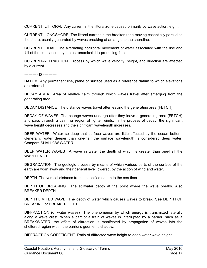CURRENT, LITTORAL Any current in the littoral zone caused primarily by wave action; e.g., .

CURRENT, LONGSHORE The littoral current in the breaker zone moving essentially parallel to the shore, usually generated by waves breaking at an angle to the shoreline.

CURRENT, TIDAL The alternating horizontal movement of water associated with the rise and fall of the tide caused by the astronomical tide-producing forces.

CURRENT-REFRACTION Process by which wave velocity, height, and direction are affected by a current.

<span id="page-20-0"></span>**---------- D ----------**

DATUM Any permanent line, plane or surface used as a reference datum to which elevations are referred.

DECAY AREA Area of relative calm through which waves travel after emerging from the generating area.

DECAY DISTANCE The distance waves travel after leaving the generating area (FETCH).

DECAY OF WAVES The change waves undergo after they leave a generating area (FETCH) and pass through a calm, or region of lighter winds. In the process of decay, the significant wave height decreases and the significant wavelength increases.

DEEP WATER Water so deep that surface waves are little affected by the ocean bottom. Generally, water deeper than one-half the surface wavelength is considered deep water. Compare SHALLOW WATER.

DEEP WATER WAVES A wave in water the depth of which is greater than one-half the WAVELENGTH.

DEGRADATION The geologic process by means of which various parts of the surface of the earth are worn away and their general level lowered, by the action of wind and water.

DEPTH The vertical distance from a specified datum to the sea floor.

DEPTH OF BREAKING The stillwater depth at the point where the wave breaks. Also BREAKER DEPTH.

DEPTH LIMITED WAVE The depth of water which causes waves to break. See DEPTH OF BREAKING or BREAKER DEPTH.

DIFFRACTION (of water waves) The phenomenon by which energy is transmitted laterally along a wave crest. When a part of a train of waves is interrupted by a barrier, such as a BREAKWATER, the effect of diffraction is manifested by propagation of waves into the sheltered region within the barrier's geometric shadow.

DIFFRACTION COEFFICIENT Ratio of diffracted wave height to deep water wave height.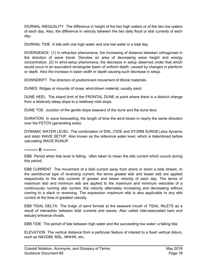DIURNAL INEQUALITY The difference in height of the two high waters or of the two low waters of each day. Also, the difference in velocity between the two daily flood or ebb currents of each day.

DIURNAL TIDE A tide with one high water and one low water in a tidal day.

DIVERGENCE (1) In refraction phenomena, the increasing of distance between orthogonals in the direction of wave travel. Denotes an area of decreasing wave height and energy concentration. (2) In wind-setup phenomena, the decrease in setup observed under that which would occur in an equivalent rectangular basin of uniform depth, caused by changes in planform or depth. Also the increase in basin width or depth causing such decrease in setup.

DOWNDRIFT The direction of predominant movement of littoral materials.

DUNES Ridges or mounds of loose, wind-blown material, usually sand.

DUNE HEEL The inland limit of the FRONTAL DUNE at point where there is a distinct change from a relatively steep slope to a relatively mild slope.

DUNE TOE Junction of the gentle slope seaward of the dune and the dune face.

DURATION In wave forecasting, the length of time the wind blows in nearly the same direction over the FETCH (generating area).

DYNAMIC WATER LEVEL The combination of SWL (TIDE and STORM SURGE) plus dynamic and static WAVE SETUP. Also known as the reference water level, which is determined before calculating WAVE RUNUP.

#### <span id="page-21-0"></span>**---------- E ----------**

EBB Period when tide level is falling; often taken to mean the ebb current which occurs during this period.

EBB CURRENT The movement of a tidal current away from shore or down a tidal stream. In the semidiurnal type of reversing current, the terms greater ebb and lesser ebb are applied respectively to the ebb currents of greater and lesser velocity of each day. The terms of maximum ebb and minimum ebb are applied to the maximum and minimum velocities of a continuously running ebb current, the velocity alternately increasing and decreasing without coming to a slack or reversing. The expression maximum ebb is also applicable to any ebb current at the time of greatest velocity.

EBB TIDAL DELTA The bulge of sand formed at the seaward mouth of TIDAL INLETS as a result of interaction between tidal currents and waves. Also called inlet-associated bars and estuary entrance shoals.

EBB TIDE The period of tide between high water and the succeeding low water; a falling tide.

ELEVATION The vertical distance from a particular feature of interest to a fixed vertical datum, such as NAVD88, MSL, MHHW, etc..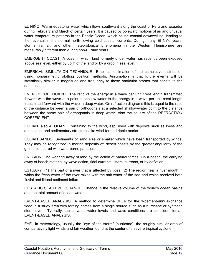EL NIÑO Warm equatorial water which flows southward along the coast of Peru and Ecuador during February and March of certain years. It is caused by poleward motions of air and unusual water temperature patterns in the Pacific Ocean, which cause coastal downwelling, leading to the reversal in the normal north-flowing cold coastal currents. During many El Niño years, storms, rainfall, and other meteorological phenomena in the Western Hemisphere are measurably different than during non-El Niño years.

EMERGENT COAST A coast in which land formerly under water has recently been exposed above sea level, either by uplift of the land or by a drop in sea level.

EMPRICAL SIMULTAION TECHNIQUE Empirical estimation of the cumulative distribution using nonparametric plotting position methods. Assumption is that future events will be statistically similar in magnitude and frequency to those particular storms that constitute the database.

ENERGY COEFFICIENT The ratio of the energy in a wave per unit crest length transmitted forward with the wave at a point in shallow water to the energy in a wave per unit crest length transmitted forward with the wave in deep water. On refraction diagrams this is equal to the ratio of the distance between a pair of orthogonals at a selected shallow-water point to the distance between the same pair of orthogonals in deep water. Also the square of the REFRACTION COEFFICIENT.

EOLIAN (also AEOLIAN) Pertaining to the wind, esp. used with deposits such as loess and dune sand, and sedimentary structures like wind-formed ripple marks.

EOLIAN SANDS Sediments of sand size or smaller which have been transported by winds. They may be recognized in marine deposits off desert coasts by the greater angularity of the grains compared with waterborne particles.

EROSION The wearing away of land by the action of natural forces. On a beach, the carrying away of beach material by wave action, tidal currents, littoral currents, or by deflation.

ESTUARY (1) The part of a river that is affected by tides. (2) The region near a river mouth in which the fresh water of the river mixes with the salt water of the sea and which received both fluvial and littoral sediment influx.

EUSTATIC SEA LEVEL CHANGE Change in the relative volume of the world's ocean basins and the total amount of ocean water.

EVENT-BASED ANALYSIS A method to determine BFEs for the 1-percent-annual-chance flood in a study area with forcing comes from a single source such as a hurricane or synthetic storm event. Typically, the elevated water levels and wave conditions are coincident for an EVENT-BASED ANALYSIS.

EYE In meteorology, usually the "eye of the storm" (hurricane): the roughly circular area of comparatively light winds and fair weather found at the center of a severe tropical cyclone.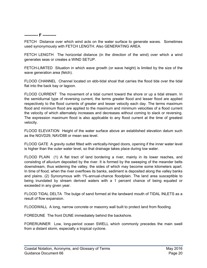#### <span id="page-23-0"></span>**---------- F ----------**

FETCH Distance over which wind acts on the water surface to generate waves. Sometimes used synonymously with FETCH LENGTH. Also GENERATING AREA.

FETCH LENGTH The horizontal distance (in the direction of the wind) over which a wind generates seas or creates a WIND SETUP.

FETCH-LIMITED Situation in which wave growth (or wave height) is limited by the size of the wave generation area (fetch).

FLOOD CHANNEL Channel located on ebb-tidal shoal that carries the flood tide over the tidal flat into the back bay or lagoon.

FLOOD CURRENT The movement of a tidal current toward the shore or up a tidal stream. In the semidiurnal type of reversing current, the terms greater flood and lesser flood are applied respectively to the flood currents of greater and lesser velocity each day. The terms maximum flood and minimum flood are applied to the maximum and minimum velocities of a flood current the velocity of which alternately increases and decreases without coming to slack or reversing. The expression maximum flood is also applicable to any flood current at the time of greatest velocity.

FLOOD ELEVATION Height of the water surface above an established elevation datum such as the NGVD29, NAVD88 or mean sea level.

FLOOD GATE A gravity outlet fitted with vertically-hinged doors, opening if the inner water level is higher than the outer water level, so that drainage takes place during low water.

FLOOD PLAIN (1) A flat tract of land bordering a river, mainly in its lower reaches, and consisting of alluvium deposited by the river. It is formed by the sweeping of the meander belts downstream, thus widening the valley, the sides of which may become some kilometers apart. In time of flood, when the river overflows its banks, sediment is deposited along the valley banks and plains. (2) Synonymous with 1%-annual-chance floodplain. The land area susceptible to being inundated by stream derived waters with a 1 percent chance of being equaled or exceeded in any given year.

FLOOD TIDAL DELTA The bulge of sand formed at the landward mouth of TIDAL INLETS as a result of flow expansion.

FLOODWALL A long, narrow concrete or masonry wall built to protect land from flooding.

FOREDUNE The front DUNE immediately behind the backshore.

FORERUNNER Low, long-period ocean SWELL which commonly precedes the main swell from a distant storm, especially a tropical cyclone.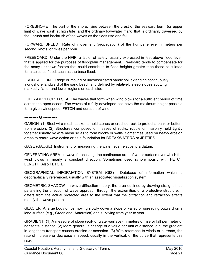FORESHORE The part of the shore, lying between the crest of the seaward berm (or upper limit of wave wash at high tide) and the ordinary low-water mark, that is ordinarily traversed by the uprush and backrush of the waves as the tides rise and fall.

FORWARD SPEED Rate of movement (propagation) of the hurricane eye in meters per second, knots, or miles per hour.

FREEBOARD Under the NFIP, a factor of safety, usually expressed in feet above flood level, that is applied for the purposes of floodplain management. Freeboard tends to compensate for the many unknown factors that could contribute to flood heights greater than those calculated for a selected flood, such as the base flood.

FRONTAL DUNE Ridge or mound of unconsolidated sandy soil extending continuously alongshore landward of the sand beach and defined by relatively steep slopes abutting markedly flatter and lower regions on each side.

FULLY-DEVELOPED SEA The waves that form when wind blows for a sufficient period of time across the open ocean. The waves of a fully developed sea have the maximum height possible for a given windspeed, FETCH and duration of wind.

<span id="page-24-0"></span>**---------- G ----------**

GABION (1) Steel wire-mesh basket to hold stones or crushed rock to protect a bank or bottom from erosion. (2) Structures composed of masses of rocks, rubble or masonry held tightly together usually by wire mesh so as to form blocks or walls. Sometimes used on heavy erosion areas to retard wave action or as a foundation for BREAKWATERS or JETTIES.

GAGE (GAUGE) Instrument for measuring the water level relative to a datum.

GENERATING AREA In wave forecasting, the continuous area of water surface over which the wind blows in nearly a constant direction. Sometimes used synonymously with FETCH LENGTH. Also FETCH.

GEOGRAPHICAL INFORMATION SYSTEM (GIS) Database of information which is geographically referenced, usually with an associated visualization system.

GEOMETRIC SHADOW In wave diffraction theory, the area outlined by drawing straight lines paralleling the direction of wave approach through the extremities of a protective structure. It differs from the actual protected area to the extent that the diffraction and refraction effects modify the wave pattern.

GLACIER A large body of ice moving slowly down a slope of valley or spreading outward on a land surface (e.g., Greenland, Antarctica) and surviving from year to year.

GRADIENT (1) A measure of slope (soil- or water-surface) in meters of rise or fall per meter of horizontal distance. (2) More general, a change of a value per unit of distance, e.g. the gradient in longshore transport causes erosion or accretion. (3) With reference to winds or currents, the rate of increase or decrease in speed, usually in the vertical; or the curve that represents this rate.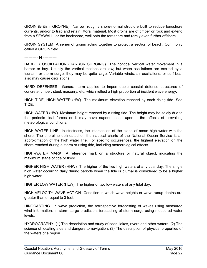GROIN (British, GROYNE) Narrow, roughly shore-normal structure built to reduce longshore currents, and/or to trap and retain littoral material. Most groins are of timber or rock and extend from a SEAWALL, or the backshore, well onto the foreshore and rarely even further offshore.

GROIN SYSTEM A series of groins acting together to protect a section of beach. Commonly called a GROIN field.

<span id="page-25-0"></span>**---------- H ----------**

HARBOR OSCILLATION (HARBOR SURGING) The nontidal vertical water movement in a harbor or bay. Usually the vertical motions are low; but when oscillations are excited by a tsunami or storm surge, they may be quite large. Variable winds, air oscillations, or surf beat also may cause oscillations.

HARD DEFENSES General term applied to impermeable coastal defense structures of concrete, timber, steel, masonry, etc, which reflect a high proportion of incident wave energy.

HIGH TIDE, HIGH WATER (HW) The maximum elevation reached by each rising tide. See TIDE.

HIGH WATER (HW) Maximum height reached by a rising tide. The height may be solely due to the periodic tidal forces or it may have superimposed upon it the effects of prevailing meteorological conditions.

HIGH WATER LINE In strictness, the intersection of the plane of mean high water with the shore. The shoreline delineated on the nautical charts of the National Ocean Service is an approximation of the high water line. For specific occurrences, the highest elevation on the shore reached during a storm or rising tide, including meteorological effects.

HIGH-WATER MARK A reference mark on a structure or natural object, indicating the maximum stage of tide or flood.

HIGHER HIGH WATER (HHW) The higher of the two high waters of any tidal day. The single high water occurring daily during periods when the tide is diurnal is considered to be a higher high water.

HIGHER LOW WATER (HLW) The higher of two low waters of any tidal day.

HIGH-VELOCITY WAVE ACTION Condition in which wave heights or wave runup depths are greater than or equal to 3 feet.

HINDCASTING In wave prediction, the retrospective forecasting of waves using measured wind information. In storm surge prediction, forecasting of storm surge using measured water levels.

HYDROGRAPHY (1) The description and study of seas, lakes, rivers and other waters. (2) The science of locating aids and dangers to navigation. (3) The description of physical properties of the waters of a region.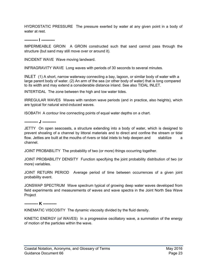HYDROSTATIC PRESSURE The pressure exerted by water at any given point in a body of water at rest.

<span id="page-26-0"></span>**---------- I ----------**

IMPERMEABLE GROIN A GROIN constructed such that sand cannot pass through the structure (but sand may still move over or around it).

INCIDENT WAVE Wave moving landward.

INFRAGRAVITY WAVE Long waves with periods of 30 seconds to several minutes.

INLET (1) A short, narrow waterway connecting a bay, lagoon, or similar body of water with a large parent body of water. (2) An arm of the sea (or other body of water) that is long compared to its width and may extend a considerable distance inland. See also TIDAL INLET.

INTERTIDAL The zone between the high and low water tides.

IRREGULAR WAVES Waves with random wave periods (and in practice, also heights), which are typical for natural wind-induced waves.

ISOBATH A contour line connecting points of equal water depths on a chart.

<span id="page-26-1"></span>**---------- J ----------**

JETTY On open seacoasts, a structure extending into a body of water, which is designed to prevent shoaling of a channel by littoral materials and to direct and confine the stream or tidal flow. Jetties are built at the mouths of rivers or tidal inlets to help deepen and stabilize a channel.

JOINT PROBABILITY The probability of two (or more) things occurring together.

JOINT PROBABILITY DENSITY Function specifying the joint probability distribution of two (or more) variables.

JOINT RETURN PERIOD Average period of time between occurrences of a given joint probability event.

JONSWAP SPECTRUM Wave spectrum typical of growing deep water waves developed from field experiments and measurements of waves and wave spectra in the Joint North Sea Wave Project

<span id="page-26-2"></span>**---------- K ----------**

KINEMATIC VISCOSITY The dynamic viscosity divided by the fluid density.

KINETIC ENERGY (of WAVES) In a progressive oscillatory wave, a summation of the energy of motion of the particles within the wave.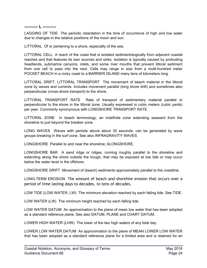#### <span id="page-27-0"></span>**---------- L ----------**

LAGGING OF TIDE The periodic retardation in the time of occurrence of high and low water due to changes in the relative positions of the moon and sun.

LITTORAL Of or pertaining to a shore, especially of the sea.

LITTORAL CELL A reach of the coast that is isolated sedimentologically from adjacent coastal reaches and that features its own sources and sinks. Isolation is typically caused by protruding headlands, submarine canyons, inlets, and some river mouths that prevent littoral sediment from one cell to pass into the next. Cells may range in size from a multi-hundred meter POCKET BEACH in a rocky coast to a BARRIER ISLAND many tens of kilometers long.

LITTORAL DRIFT, LITTORAL TRANSPORT The movement of beach material in the littoral zone by waves and currents. Includes movement parallel (long shore drift) and sometimes also perpendicular (cross-shore transport) to the shore.

LITTORAL TRANSPORT RATE Rate of transport of sedimentary material parallel or perpendicular to the shore in the littoral zone. Usually expressed in cubic meters (cubic yards) per year. Commonly synonymous with LONGSHORE TRANSPORT RATE.

LITTORAL ZONE In beach terminology, an indefinite zone extending seaward from the shoreline to just beyond the breaker zone.

LONG WAVES Waves with periods above about 30 seconds; can be generated by wave groups breaking in the surf zone. See also INFRAGRAVITY WAVES.

LONGSHORE Parallel to and near the shoreline; ALONGSHORE.

LONGSHORE BAR A sand ridge or ridges, running roughly parallel to the shoreline and extending along the shore outside the trough, that may be exposed at low tide or may occur below the water level in the offshore.

LONGSHORE DRIFT Movement of (beach) sediments approximately parallel to the coastline.

LONG-TERM EROSION The amount of beach and shoreline erosion that occurs over a period of time lasting days to decades, to tens of decades.

LOW TIDE (LOW WATER, LW) The minimum elevation reached by each falling tide. See TIDE.

LOW WATER (LW) The minimum height reached by each falling tide.

LOW WATER DATUM An approximation to the plane of mean low water that has been adopted as a standard reference plane. See also DATUM, PLANE and CHART DATUM.

LOWER HIGH WATER (LHW) The lower of the two high waters of any tidal day.

LOWER LOW WATER DATUM An approximation to the plane of MEAN LOWER LOW WATER that has been adopted as a standard reference plane for a limited area and is retained for an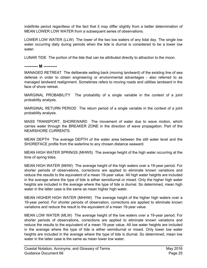indefinite period regardless of the fact that it may differ slightly from a better determination of MEAN LOWER LOW WATER from a subsequent series of observations.

LOWER LOW WATER (LLW) The lower of the two low waters of any tidal day. The single low water occurring daily during periods when the tide is diurnal is considered to be a lower low water.

LUNAR TIDE The portion of the tide that can be attributed directly to attraction to the moon.

<span id="page-28-0"></span>**---------- M ----------**

MANAGED RETREAT The deliberate setting back (moving landward) of the existing line of sea defense in order to obtain engineering or environmental advantages - also referred to as managed landward realignment. Sometimes refers to moving roads and utilities landward in the face of shore retreat.

MARGINAL PROBABILITY The probability of a single variable in the context of a joint probability analysis.

MARGINAL RETURN PERIOD The return period of a single variable in the context of a joint probability analysis.

MASS TRANSPORT, SHOREWARD The movement of water due to wave motion, which carries water through the BREAKER ZONE in the direction of wave propagation. Part of the NEARSHORE CURRENTS.

MEAN DEPTH The average DEPTH of the water area between the still water level and the SHOREFACE profile from the waterline to any chosen distance seaward.

MEAN HIGH WATER SPRINGS (MHWS) The average height of the high water occurring at the time of spring tides.

MEAN HIGH WATER (MHW) The average height of the high waters over a 19-year period. For shorter periods of observations, corrections are applied to eliminate known variations and reduce the results to the equivalent of a mean 19-year value. All high water heights are included in the average where the type of tide is either semidiurnal or mixed. Only the higher high water heights are included in the average where the type of tide is diurnal. So determined, mean high water in the latter case is the same as mean higher high water.

MEAN HIGHER HIGH WATER (MHHW) The average height of the higher high waters over a 19-year period. For shorter periods of observation, corrections are applied to eliminate known variations and reduce the result to the equivalent of a mean 19-year value.

MEAN LOW WATER (MLW) The average height of the low waters over a 19-year period. For shorter periods of observations, corrections are applied to eliminate known variations and reduce the results to the equivalent of a mean 19-year value. All low water heights are included in the average where the type of tide is either semidiurnal or mixed. Only lower low water heights are included in the average where the type of tide is diurnal. So determined, mean low water in the latter case is the same as mean lower low water.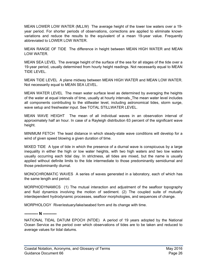MEAN LOWER LOW WATER (MLLW) The average height of the lower low waters over a 19 year period. For shorter periods of observations, corrections are applied to eliminate known variations and reduce the results to the equivalent of a mean 19-year value. Frequently abbreviated to LOWER LOW WATER.

MEAN RANGE OF TIDE The difference in height between MEAN HIGH WATER and MEAN LOW WATER.

MEAN SEA LEVEL The average height of the surface of the sea for all stages of the tide over a 19-year period, usually determined from hourly height readings. Not necessarily equal to MEAN TIDE LEVEL.

MEAN TIDE LEVEL A plane midway between MEAN HIGH WATER and MEAN LOW WATER. Not necessarily equal to MEAN SEA LEVEL.

MEAN WATER LEVEL The mean water surface level as determined by averaging the heights of the water at equal intervals of time, usually at hourly intervals. The mean water level includes all components contributing to the stillwater level, including astronomical tides, storm surge, wave setup and freshwater input. See TOTAL STILLWATER LEVEL.

MEAN WAVE HEIGHT The mean of all individual waves in an observation interval of approximately half an hour. In case of a Rayleigh distribution 63 percent of the significant wave height.

MINIMUM FETCH The least distance in which steady-state wave conditions will develop for a wind of given speed blowing a given duration of time.

MIXED TIDE A type of tide in which the presence of a diurnal wave is conspicuous by a large inequality in either the high or low water heights, with two high waters and two low waters usually occurring each tidal day. In strictness, all tides are mixed, but the name is usually applied without definite limits to the tide intermediate to those predominantly semidiurnal and those predominantly diurnal.

MONOCHROMATIC WAVES A series of waves generated in a laboratory, each of which has the same length and period.

MORPHODYNAMICS (1) The mutual interaction and adjustment of the seafloor topography and fluid dynamics involving the motion of sediment. (2) The coupled suite of mutually interdependent hydrodynamic processes, seafloor morphologies, and sequences of change.

MORPHOLOGY River/estuary/lake/seabed form and its change with time.

#### <span id="page-29-0"></span>**---------- N ----------**

NATIONAL TIDAL DATUM EPOCH (NTDE) A period of 19 years adopted by the National Ocean Service as the period over which observations of tides are to be taken and reduced to average values for tidal datums.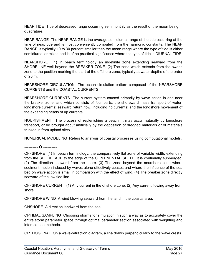NEAP TIDE Tide of decreased range occurring semimonthly as the result of the moon being in quadrature.

NEAP RANGE The NEAP RANGE is the average semidiurnal range of the tide occurring at the time of neap tide and is most conveniently computed from the harmonic constants. The NEAP RANGE is typically 10 to 30 percent smaller than the mean range where the type of tide is either semidiurnal or mixed and is of no practical significance where the type of tide is DIURNAL TIDE.

NEARSHORE (1) In beach terminology an indefinite zone extending seaward from the SHORELINE well beyond the BREAKER ZONE. (2) The zone which extends from the swash zone to the position marking the start of the offshore zone, typically at water depths of the order of 20 m.

NEARSHORE CIRCULATION The ocean circulation pattern composed of the NEARSHORE CURRENTS and the COASTAL CURRENTS.

NEARSHORE CURRENTS The current system caused primarily by wave action in and near the breaker zone, and which consists of four parts: the shoreward mass transport of water; longshore currents; seaward return flow, including rip currents; and the longshore movement of the expanding heads of rip currents.

NOURISHMENT The process of replenishing a beach. It may occur naturally by longshore transport, or be brought about artificially by the deposition of dredged materials or of materials trucked in from upland sites.

NUMERICAL MODELING Refers to analysis of coastal processes using computational models.

<span id="page-30-0"></span>**---------- O ----------**

OFFSHORE (1) In beach terminology, the comparatively flat zone of variable width, extending from the SHOREFACE to the edge of the CONTINENTAL SHELF. It is continually submerged. (2) The direction seaward from the shore. (3) The zone beyond the nearshore zone where sediment motion induced by waves alone effectively ceases and where the influence of the sea bed on wave action is small in comparison with the effect of wind. (4) The breaker zone directly seaward of the low tide line.

OFFSHORE CURRENT (1) Any current in the offshore zone. (2) Any current flowing away from shore.

OFFSHORE WIND A wind blowing seaward from the land in the coastal area.

ONSHORE A direction landward from the sea.

OPTIMAL SAMPLING Choosing storms for simulation in such a way as to accurately cover the entire storm parameter space through optimal parameter section associated with weighting and interpolation methods.

ORTHOGONAL On a wave-refraction diagram, a line drawn perpendicularly to the wave crests.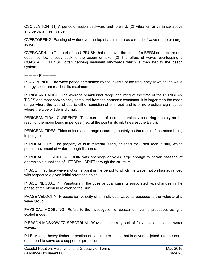OSCILLATION (1) A periodic motion backward and forward. (2) Vibration or variance above and below a mean value.

OVERTOPPING Passing of water over the top of a structure as a result of wave runup or surge action.

OVERWASH (1) The part of the UPRUSH that runs over the crest of a BERM or structure and does not flow directly back to the ocean or lake. (2) The effect of waves overtopping a COASTAL DEFENSE, often carrying sediment landwards which is then lost to the beach system.

<span id="page-31-0"></span>**---------- P ----------**

PEAK PERIOD The wave period determined by the inverse of the frequency at which the wave energy spectrum reaches its maximum.

PERIGEAN RANGE The average semidiurnal range occurring at the time of the PERIGEAN TIDES and most conveniently computed from the harmonic constants. It is larger than the mean range where the type of tide is either semidiurnal or mixed and is of no practical significance where the type of tide is diurnal.

PERIGEAN TIDAL CURRENTS Tidal currents of increased velocity occurring monthly as the result of the moon being in perigee (i.e., at the point in its orbit nearest the Earth).

PERIGEAN TIDES Tides of increased range occurring monthly as the result of the moon being in perigee.

PERMEABILITY The property of bulk material (sand, crushed rock, soft rock in situ) which permit movement of water through its pores.

PERMEABLE GROIN A GROIN with openings or voids large enough to permit passage of appreciable quantities of LITTORAL DRIFT through the structure.

PHASE In surface wave motion, a point in the period to which the wave motion has advanced with respect to a given initial reference point.

PHASE INEQUALITY Variations in the tides or tidal currents associated with changes in the phase of the Moon in relation to the Sun.

PHASE VELOCITY Propagation velocity of an individual wave as opposed to the velocity of a wave group.

PHYSICAL MODELING Refers to the investigation of coastal or riverine processes using a scaled model.

PIERSON-MOSKOWITZ SPECTRUM Wave spectrum typical of fully-developed deep water waves.

PILE A long, heavy timber or section of concrete or metal that is driven or jetted into the earth or seabed to serve as a support or protection.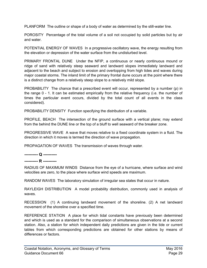PLANFORM The outline or shape of a body of water as determined by the still-water line.

POROSITY Percentage of the total volume of a soil not occupied by solid particles but by air and water.

POTENTIAL ENERGY OF WAVES In a progressive oscillatory wave, the energy resulting from the elevation or depression of the water surface from the undisturbed level.

PRIMARY FRONTAL DUNE Under the NFIP, a continuous or nearly continuous mound or ridge of sand with relatively steep seaward and landward slopes immediately landward and adjacent to the beach and subject to erosion and overtopping from high tides and waves during major coastal storms. The inland limit of the primary frontal dune occurs at the point where there is a distinct change from a relatively steep slope to a relatively mild slope.

PROBABILITY The chance that a prescribed event will occur, represented by a number (p) in the range 0 - 1. It can be estimated empirically from the relative frequency (i.e. the number of times the particular event occurs, divided by the total count of all events in the class considered).

PROBABILITY DENSITY Function specifying the distribution of a variable.

PROFILE, BEACH The intersection of the ground surface with a vertical plane; may extend from the behind the DUNE line or the top of a bluff to well seaward of the breaker zone.

PROGRESSIVE WAVE A wave that moves relative to a fixed coordinate system in a fluid. The direction in which it moves is termed the direction of wave propagation.

PROPAGATION OF WAVES The transmission of waves through water.

<span id="page-32-0"></span>**---------- Q ----------**

<span id="page-32-1"></span>**---------- R ----------**

RADIUS OF MAXIMUM WINDS Distance from the eye of a hurricane, where surface and wind velocities are zero, to the place where surface wind speeds are maximum.

RANDOM WAVES The laboratory simulation of irregular sea states that occur in nature.

RAYLEIGH DISTRIBUTION A model probability distribution, commonly used in analysis of waves.

RECESSION (1) A continuing landward movement of the shoreline. (2) A net landward movement of the shoreline over a specified time.

REFERENCE STATION A place for which tidal constants have previously been determined and which is used as a standard for the comparison of simultaneous observations at a second station. Also, a station for which independent daily predictions are given in the tide or current tables from which corresponding predictions are obtained for other stations by means of differences or factors.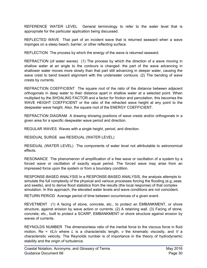REFERENCE WATER LEVEL General terminology to refer to the water level that is appropriate for the particular application being discussed.

REFLECTED WAVE That part of an incident wave that is returned seaward when a wave impinges on a steep beach, barrier, or other reflecting surface.

REFLECTION The process by which the energy of the wave is returned seaward.

REFRACTION (of water waves) (1) The process by which the direction of a wave moving in shallow water at an angle to the contours is changed: the part of the wave advancing in shallower water moves more slowly than that part still advancing in deeper water, causing the wave crest to bend toward alignment with the underwater contours. (2) The bending of wave crests by currents.

REFRACTION COEFFICIENT The square root of the ratio of the distance between adjacent orthogonals in deep water to their distance apart in shallow water at a selected point. When multiplied by the SHOALING FACTOR and a factor for friction and percolation, this becomes the WAVE HEIGHT COEFFICIENT or the ratio of the refracted wave height at any point to the deepwater wave height. Also, the square root of the ENERGY COEFFICIENT.

REFRACTION DIAGRAM A drawing showing positions of wave crests and/or orthogonals in a given area for a specific deepwater wave period and direction.

REGULAR WAVES Waves with a single height, period, and direction.

RESIDUAL SURGE see RESIDUAL (WATER LEVEL)

RESIDUAL (WATER LEVEL) The components of water level not attributable to astronomical effects.

RESONANCE The phenomenon of amplification of a free wave or oscillation of a system by a forced wave or oscillation of exactly equal period. The forced wave may arise from an impressed force upon the system or from a boundary condition.

RESPONSE-BASED ANALYSIS In a RESPONSE-BASED ANALYSIS, the analysis attempts to simulate the full complexity of the physical and various processes forcing the flooding (e.g.,seas and swells), and to derive flood statistics from the results (the local response) of that complex simulation. In this approach, the elevated water levels and wave conditions are not coincident.

RETURN PERIOD Average period of time between occurrences of a given event.

REVETMENT (1) A facing of stone, concrete, etc., to protect an EMBANKMENT, or shore structure, against erosion by wave action or currents. (2) A retaining wall. (3) Facing of stone, concrete, etc., built to protect a SCARP, EMBANKMENT or shore structure against erosion by waves of currents.

REYNOLDS NUMBER The dimensionless ratio of the inertial force to the viscous force in fluid motion, Re = *VL/ν* where *L* is a characteristic length, *ν* the kinematic viscosity, and *V* a characteristic velocity. The Reynolds number is of importance in the theory of hydrodynamic stability and the origin of turbulence.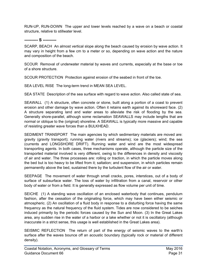RUN-UP, RUN-DOWN The upper and lower levels reached by a wave on a beach or coastal structure, relative to stillwater level.

#### <span id="page-34-0"></span>**---------- S ----------**

SCARP, BEACH An almost vertical slope along the beach caused by erosion by wave action. It may vary in height from a few cm to a meter or so, depending on wave action and the nature and composition of the beach.

SCOUR Removal of underwater material by waves and currents, especially at the base or toe of a shore structure.

SCOUR PROTECTION Protection against erosion of the seabed in front of the toe.

SEA LEVEL RISE The long-term trend in MEAN SEA LEVEL.

SEA STATE Description of the sea surface with regard to wave action. Also called state of sea.

SEAWALL (1) A structure, often concrete or stone, built along a portion of a coast to prevent erosion and other damage by wave action. Often it retains earth against its shoreward face. (2) A structure separating land and water areas to alleviate the risk of flooding by the sea. Generally shore-parallel, although some reclamation SEAWALLS may include lengths that are normal or oblique to the (original) shoreline. A SEAWALL is typically more massive and capable of resisting greater wave forces than a BULKHEAD.

SEDIMENT TRANSPORT The main agencies by which sedimentary materials are moved are: gravity (gravity transport); running water (rivers and streams); ice (glaciers); wind; the sea (currents and LONGSHORE DRIFT). Running water and wind are the most widespread transporting agents. In both cases, three mechanisms operate, although the particle size of the transported material involved is very different, owing to the differences in density and viscosity of air and water. The three processes are: rolling or traction, in which the particle moves along the bed but is too heavy to be lifted from it; saltation; and suspension, in which particles remain permanently above the bed, sustained there by the turbulent flow of the air or water.

SEEPAGE The movement of water through small cracks, pores, interstices, out of a body of surface of subsurface water. The loss of water by infiltration from a canal, reservoir or other body of water or from a field. It is generally expressed as flow volume per unit of time.

SEICHE (1) A standing wave oscillation of an enclosed waterbody that continues, pendulum fashion, after the cessation of the originating force, which may have been either seismic or atmospheric. (2) An oscillation of a fluid body in response to a disturbing force having the same frequency as the natural frequency of the fluid system. Tides are now considered to be seiches induced primarily by the periodic forces caused by the Sun and Moon. (3) In the Great Lakes area, any sudden rise in the water of a harbor or a lake whether or not it is oscillatory (although inaccurate in a strict sense, this usage is well established in the Great Lakes area).

SEISMIC REFLECTION The return of part of the energy of seismic waves to the earth's surface after the waves bounce off an acoustic boundary (typically rock or material of different density).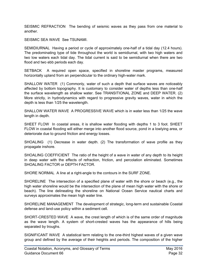SEISMIC REFRACTION The bending of seismic waves as they pass from one material to another.

SEISMIC SEA WAVE See TSUNAMI.

SEMIDIURNAL Having a period or cycle of approximately one-half of a tidal day (12.4 hours). The predominating type of tide throughout the world is semidiurnal, with two high waters and two low waters each tidal day. The tidal current is said to be semidiurnal when there are two flood and two ebb periods each day.

SETBACK A required open space, specified in shoreline master programs, measured horizontally upland from an perpendicular to the ordinary high-water mark.

SHALLOW WATER (1) Commonly, water of such a depth that surface waves are noticeably affected by bottom topography. It is customary to consider water of depths less than one-half the surface wavelength as shallow water. See TRANSITIONAL ZONE and DEEP WATER. (2) More strictly, in hydrodynamics with regard to progressive gravity waves, water in which the depth is less than 1/25 the wavelength.

SHALLOW WATER WAVE A PROGRESSIVE WAVE which is in water less than 1/25 the wave length in depth.

SHEET FLOW In coastal areas, it is shallow water flooding with depths 1 to 3 foot. SHEET FLOW in coastal flooding will either merge into another flood source, pond in a lowlying area, or deteriorate due to ground friction and energy losses.

SHOALING (1) Decrease in water depth. (2) The transformation of wave profile as they propagate inshore.

SHOALING COEFFICIENT The ratio of the height of a wave in water of any depth to its height in deep water with the effects of refraction, friction, and percolation eliminated. Sometimes SHOALING FACTOR or DEPTH FACTOR

SHORE NORMAL A line at a right-angle to the contours in the SURF ZONE.

SHORELINE The intersection of a specified plane of water with the shore or beach (e.g., the high water shoreline would be the intersection of the plane of mean high water with the shore or beach). The line delineating the shoreline on National Ocean Service nautical charts and surveys approximates the mean high water line.

SHORELINE MANAGEMENT The development of strategic, long-term and sustainable Coastal defense and land-use policy within a sediment cell.

SHORT-CRESTED WAVE A wave, the crest length of which is of the same order of magnitude as the wave length. A system of short-crested waves has the appearance of hills being separated by troughs.

SIGNIFICANT WAVE A statistical term relating to the one-third highest waves of a given wave group and defined by the average of their heights and periods. The composition of the higher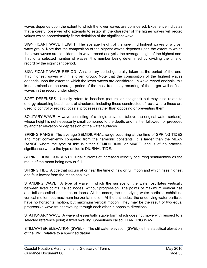waves depends upon the extent to which the lower waves are considered. Experience indicates that a careful observer who attempts to establish the character of the higher waves will record values which approximately fit the definition of the significant wave.

SIGNIFICANT WAVE HEIGHT The average height of the one-third highest waves of a given wave group. Note that the composition of the highest waves depends upon the extent to which the lower waves are considered. In wave record analysis, the average height of the highest onethird of a selected number of waves, this number being determined by dividing the time of record by the significant period.

SIGNIFICANT WAVE PERIOD An arbitrary period generally taken as the period of the onethird highest waves within a given group. Note that the composition of the highest waves depends upon the extent to which the lower waves are considered. In wave record analysis, this is determined as the average period of the most frequently recurring of the larger well-defined waves in the record under study.

SOFT DEFENSES Usually refers to beaches (natural or designed) but may also relate to energy-absorbing beach-control structures, including those constructed of rock, where these are used to control or redirect coastal processes rather than opposing or preventing them.

SOLITARY WAVE A wave consisting of a single elevation (above the original water surface), whose height is not necessarily small compared to the depth, and neither followed nor preceded by another elevation or depression of the water surfaces.

SPRING RANGE The average SEMIDIURNAL range occurring at the time of SPRING TIDES and most conveniently computed from the harmonic constants. It is larger than the MEAN RANGE where the type of tide is either SEMIDIURNAL or MIXED, and is of no practical significance where the type of tide is DIURNAL TIDE.

SPRING TIDAL CURRENTS Tidal currents of increased velocity occurring semimonthly as the result of the moon being new or full.

SPRING TIDE A tide that occurs at or near the time of new or full moon and which rises highest and falls lowest from the mean sea level.

STANDING WAVE A type of wave in which the surface of the water oscillates vertically between fixed points, called nodes, without progression. The points of maximum vertical rise and fall are called antinodes or loops. At the nodes, the underlying water particles exhibit no vertical motion, but maximum horizontal motion. At the antinodes, the underlying water particles have no horizontal motion, but maximum vertical motion. They may be the result of two equal progressive wave trains traveling through each other in opposite directions.

STATIONARY WAVE A wave of essentially stable form which does not move with respect to a selected reference point; a fixed swelling. Sometimes called STANDING WAVE.

STILLWATER ELEVATION (SWEL) – The stillwater elevation (SWEL) is the statistical elevation of the SWL relative to a specified datum.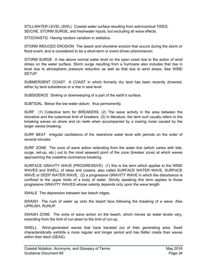STILLWATER LEVEL (SWL) Coastal water surface resulting from astronomical TIDES, SEICHE, STORM SURGE, and freshwater inputs, but excluding all wave effects*.*

STOCHASTIC Having random variation in statistics.

STORM INDUCED EROSION The beach and shoreline erosion that occurs during the storm or flood event, and is considered to be a short-term or event driven phenomenon.

STORM SURGE A rise above normal water level on the open coast due to the action of wind stress on the water surface. Storm surge resulting from a hurricane also includes that rise in level due to atmospheric pressure reduction as well as that due to wind stress. See WIND SETUP.

SUBMERGENT COAST A COAST in which formerly dry land has been recently drowned, either by land subsidence or a rise in seal level.

SUBSIDENCE Sinking or downwarping of a part of the earth's surface.

SUBTIDAL Below the low-water datum; thus permanently.

SURF (1) Collective term for BREAKERS. (2) The wave activity in the area between the shoreline and the outermost limit of breakers. (3) In literature, the term surf usually refers to the breaking waves on shore and on reefs when accompanied by a roaring noise caused by the larger waves breaking.

SURF BEAT Irregular oscillations of the nearshore water level with periods on the order of several minutes.

SURF ZONE The zone of wave action extending from the water line (which varies with tide, surge, set-up, etc.) out to the most seaward point of the zone (breaker zone) at which waves approaching the coastline commence breaking.

SURFACE GRAVITY WAVE (PROGRESSIVE) (1) this is the term which applies to the WIND WAVES and SWELL of lakes and oceans, also called SURFACE WATER WAVE, SURFACE WAVE or DEEP WATER WAVE, (2) a progressive GRAVITY WAVE in which the disturbance is confined to the upper limits of a body of water. Strictly speaking this term applies to those progressive GRAVITY WAVES whose celerity depends only upon the wave length.

SWALE The depression between two beach ridges.

SWASH The rush of water up onto the beach face following the breaking of a wave. Also UPRUSH, RUNUP.

SWASH ZONE The zone of wave action on the beach, which moves as water levels vary, extending from the limit of run-down to the limit of run-up.

SWELL Wind-generated waves that have traveled out of their generating area. Swell characteristically exhibits a more regular and longer period and has flatter crests than waves within their fetch (SEAS).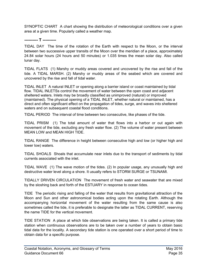SYNOPTIC CHART A chart showing the distribution of meteorological conditions over a given area at a given time. Popularly called a weather map.

<span id="page-38-0"></span>**---------- T ----------**

TIDAL DAY The time of the rotation of the Earth with respect to the Moon, or the interval between two successive upper transits of the Moon over the meridian of a place, approximately 24.84 solar hours (24 hours and 50 minutes) or 1.035 times the mean solar day. Also called lunar day.

TIDAL FLATS (1) Marshy or muddy areas covered and uncovered by the rise and fall of the tide. A TIDAL MARSH. (2) Marshy or muddy areas of the seabed which are covered and uncovered by the rise and fall of tidal water.

TIDAL INLET A natural INLET or opening along a barrier island or coast maintained by tidal flow. TIDAL INLETSs control the movement of water between the open coast and adjacent sheltered waters. Inlets may be broadly classified as unimproved (natural) or improved (maintained). The physical opening of a TIDAL INLET, whether natural or maintained, has a direct and often significant effect on the propagation of tides, surge, and waves into sheltered waters and on subsequent coastal flood conditions.

TIDAL PERIOD The interval of time between two consecutive, like phases of the tide.

TIDAL PRISM (1) The total amount of water that flows into a harbor or out again with movement of the tide, excluding any fresh water flow. (2) The volume of water present between MEAN LOW and MEAN HIGH TIDE.

TIDAL RANGE The difference in height between consecutive high and low (or higher high and lower low) waters.

TIDAL SHOALS Shoals that accumulate near inlets due to the transport of sediments by tidal currents associated with the inlet.

TIDAL WAVE (1) The wave motion of the tides. (2) In popular usage, any unusually high and destructive water level along a shore. It usually refers to STORM SURGE or TSUNAMI.

TIDALLY DRIVEN CIRCULATION The movement of fresh water and seawater that are mixed by the sloshing back and forth of the ESTUARY in response to ocean tides.

TIDE The periodic rising and falling of the water that results from gravitational attraction of the Moon and Sun and other astronomical bodies acting upon the rotating Earth. Although the accompanying horizontal movement of the water resulting from the same cause is also sometimes called the tide, it is preferable to designate the latter as TIDAL CURRENT, reserving the name TIDE for the vertical movement.

TIDE STATION A place at which tide observations are being taken. It is called a primary tide station when continuous observations are to be taken over a number of years to obtain basic tidal data for the locality. A secondary tide station is one operated over a short period of time to obtain data for a specific purpose.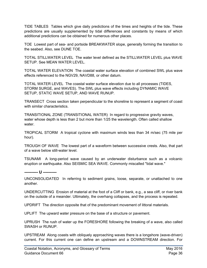TIDE TABLES Tables which give daily predictions of the times and heights of the tide. These predictions are usually supplemented by tidal differences and constants by means of which additional predictions can be obtained for numerous other places.

TOE Lowest part of sea- and portside BREAKWATER slope, generally forming the transition to the seabed. Also, see DUNE TOE.

TOTAL STILLWATER LEVEL The water level defined as the STILLWATER LEVEL plus WAVE SETUP. See MEAN WATER LEVEL.

TOTAL WATER ELEVATION The coastal water surface elevation of combined SWL plus wave effects referenced to the NGV29, NAVD88, or other datum.

TOTAL WATER LEVEL The coastal water surface elevation due to all processes (TIDES, STORM SURGE, and WAVES). The SWL plus wave effects including DYNAMIC WAVE SETUP, STATIC WAVE SETUP, AND WAVE RUNUP.

TRANSECT Cross section taken perpendicular to the shoreline to represent a segment of coast with similar characteristics.

TRANSITIONAL ZONE (TRANSITIONAL WATER) In regard to progressive gravity waves, water whose depth is less than 2 but more than 1/25 the wavelength. Often called shallow water

TROPICAL STORM A tropical cyclone with maximum winds less than 34 m/sec (75 mile per hour).

TROUGH OF WAVE The lowest part of a waveform between successive crests. Also, that part of a wave below still-water level.

TSUNAMI A long-period wave caused by an underwater disturbance such as a volcanic eruption or earthquake. Also SEISMIC SEA WAVE. Commonly miscalled "tidal wave."

<span id="page-39-0"></span>**---------- U ----------**

UNCONSOLIDATED In referring to sediment grains, loose, separate, or unattached to one another.

UNDERCUTTING Erosion of material at the foot of a Cliff or bank, e.g., a sea cliff, or river bank on the outside of a meander. Ultimately, the overhang collapses, and the process is repeated.

UPDRIFT The direction opposite that of the predominant movement of littoral materials.

UPLIFT The upward water pressure on the base of a structure or pavement.

UPRUSH The rush of water up the FORESHORE following the breaking of a wave, also called SWASH or RUNUP.

UPSTREAM Along coasts with obliquely approaching waves there is a longshore (wave-driven) current. For this current one can define an upstream and a DOWNSTREAM direction. For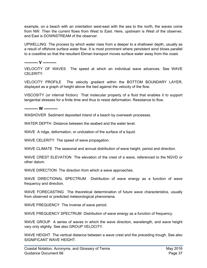example, on a beach with an orientation west-east with the sea to the north, the waves come from NW. Then the current flows from West to East. Here, upstream is West of the observer, and East is DOWNSTREAM of the observer.

UPWELLING The process by which water rises from a deeper to a shallower depth, usually as a result of offshore surface water flow. It is most prominent where persistent wind blows parallel to a coastline so that the resultant Ekman transport moves surface water away from the coast.

<span id="page-40-0"></span>**---------- V ----------**

VELOCITY OF WAVES The speed at which an individual wave advances. See WAVE CELERITY.

VELOCITY PROFILE The velocity gradient within the BOTTOM BOUNDARY LAYER, displayed as a graph of height above the bed against the velocity of the flow.

VISCOSITY (or internal friction) That molecular property of a fluid that enables it to support tangential stresses for a finite time and thus to resist deformation. Resistance to flow.

<span id="page-40-1"></span>**---------- W ----------**

WASHOVER Sediment deposited inland of a beach by overwash processes.

WATER DEPTH Distance between the seabed and the water level.

WAVE A ridge, deformation, or undulation of the surface of a liquid.

WAVE CELERITY The speed of wave propagation.

WAVE CLIMATE The seasonal and annual distribution of wave height, period and direction.

WAVE CREST ELEVATION The elevation of the crest of a wave, referenced to the NGVD or other datum.

WAVE DIRECTION The direction from which a wave approaches.

WAVE DIRECTIONAL SPECTRUM Distribution of wave energy as a function of wave frequency and direction.

WAVE FORECASTING The theoretical determination of future wave characteristics, usually from observed or predicted meteorological phenomena.

WAVE FREQUENCY The inverse of wave period.

WAVE FREQUENCY SPECTRUM Distribution of wave energy as a function of frequency.

WAVE GROUP A series of waves in which the wave direction, wavelength, and wave height vary only slightly. See also GROUP VELOCITY.

WAVE HEIGHT The vertical distance between a wave crest and the preceding trough. See also SIGNIFICANT WAVE HEIGHT.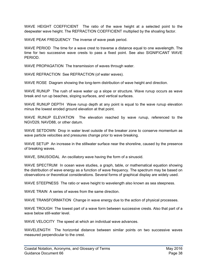WAVE HEIGHT COEFFICIENT The ratio of the wave height at a selected point to the deepwater wave height. The REFRACTION COEFFICIENT multiplied by the shoaling factor.

WAVE PEAK FREQUENCY The inverse of wave peak period.

WAVE PERIOD The time for a wave crest to traverse a distance equal to one wavelength. The time for two successive wave crests to pass a fixed point. See also SIGNIFICANT WAVE PERIOD.

WAVE PROPAGATION The transmission of waves through water.

WAVE REFRACTION See REFRACTION (of water waves).

WAVE ROSE Diagram showing the long-term distribution of wave height and direction.

WAVE RUNUP The rush of wave water up a slope or structure. Wave runup occurs as wave break and run up beaches, sloping surfaces, and vertical surfaces.

WAVE RUNUP DEPTH Wave runup depth at any point is equal to the wave runup elevation minus the lowest eroded ground elevation at that point.

WAVE RUNUP ELEVATION The elevation reached by wave runup, referenced to the NGVD29, NAVD88, or other datum.

WAVE SETDOWN Drop in water level outside of the breaker zone to conserve momentum as wave particle velocities and pressures change prior to wave breaking.

WAVE SETUP An increase in the stillwater surface near the shoreline, caused by the presence of breaking waves.

WAVE, SINUSOIDAL An oscillatory wave having the form of a sinusoid.

WAVE SPECTRUM In ocean wave studies, a graph, table, or mathematical equation showing the distribution of wave energy as a function of wave frequency. The spectrum may be based on observations or theoretical considerations. Several forms of graphical display are widely used.

WAVE STEEPNESS The ratio or wave height to wavelength also known as sea steepness.

WAVE TRAIN A series of waves from the same direction.

WAVE TRANSFORMATION Change in wave energy due to the action of physical processes.

WAVE TROUGH The lowest part of a wave form between successive crests. Also that part of a wave below still-water level

WAVE VELOCITY The speed at which an individual wave advances.

WAVELENGTH The horizontal distance between similar points on two successive waves measured perpendicular to the crest.